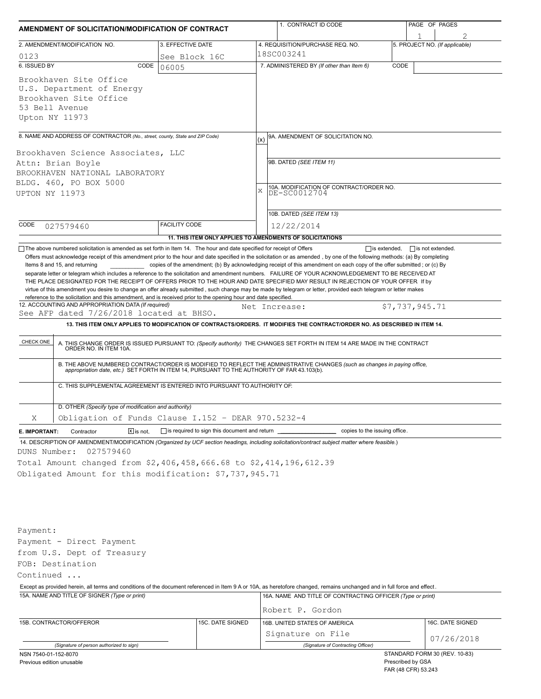| AMENDMENT OF SOLICITATION/MODIFICATION OF CONTRACT                                                                                                                                                                                                                                                                                                                                                                                                                                                                       |                                                           |            | 1. CONTRACT ID CODE                                                                                                                                                                                                                                                                                                                                                          | PAGE OF PAGES |                                                    |  |
|--------------------------------------------------------------------------------------------------------------------------------------------------------------------------------------------------------------------------------------------------------------------------------------------------------------------------------------------------------------------------------------------------------------------------------------------------------------------------------------------------------------------------|-----------------------------------------------------------|------------|------------------------------------------------------------------------------------------------------------------------------------------------------------------------------------------------------------------------------------------------------------------------------------------------------------------------------------------------------------------------------|---------------|----------------------------------------------------|--|
| 2. AMENDMENT/MODIFICATION NO.                                                                                                                                                                                                                                                                                                                                                                                                                                                                                            | 3. EFFECTIVE DATE                                         |            | 4. REQUISITION/PURCHASE REQ. NO.                                                                                                                                                                                                                                                                                                                                             |               | 1<br>5. PROJECT NO. (If applicable)                |  |
| 0123                                                                                                                                                                                                                                                                                                                                                                                                                                                                                                                     | See Block 16C                                             | 18SC003241 |                                                                                                                                                                                                                                                                                                                                                                              |               |                                                    |  |
| 6. ISSUED BY<br>CODE                                                                                                                                                                                                                                                                                                                                                                                                                                                                                                     | 06005                                                     |            | 7. ADMINISTERED BY (If other than Item 6)                                                                                                                                                                                                                                                                                                                                    | CODE          |                                                    |  |
| Brookhaven Site Office<br>U.S. Department of Energy<br>Brookhaven Site Office<br>53 Bell Avenue<br>Upton NY 11973                                                                                                                                                                                                                                                                                                                                                                                                        |                                                           |            |                                                                                                                                                                                                                                                                                                                                                                              |               |                                                    |  |
| 8. NAME AND ADDRESS OF CONTRACTOR (No., street, county, State and ZIP Code)                                                                                                                                                                                                                                                                                                                                                                                                                                              |                                                           |            | 9A. AMENDMENT OF SOLICITATION NO.                                                                                                                                                                                                                                                                                                                                            |               |                                                    |  |
| Brookhaven Science Associates, LLC<br>Attn: Brian Boyle<br>BROOKHAVEN NATIONAL LABORATORY<br>BLDG. 460, PO BOX 5000<br>UPTON NY 11973                                                                                                                                                                                                                                                                                                                                                                                    |                                                           | X          | 9B. DATED (SEE ITEM 11)<br>10A. MODIFICATION OF CONTRACT/ORDER NO.<br>DE-SC0012704<br>10B. DATED (SEE ITEM 13)                                                                                                                                                                                                                                                               |               |                                                    |  |
| CODE<br>027579460                                                                                                                                                                                                                                                                                                                                                                                                                                                                                                        | <b>FACILITY CODE</b>                                      |            | 12/22/2014                                                                                                                                                                                                                                                                                                                                                                   |               |                                                    |  |
|                                                                                                                                                                                                                                                                                                                                                                                                                                                                                                                          | 11. THIS ITEM ONLY APPLIES TO AMENDMENTS OF SOLICITATIONS |            |                                                                                                                                                                                                                                                                                                                                                                              |               |                                                    |  |
| THE PLACE DESIGNATED FOR THE RECEIPT OF OFFERS PRIOR TO THE HOUR AND DATE SPECIFIED MAY RESULT IN REJECTION OF YOUR OFFER If by<br>virtue of this amendment you desire to change an offer already submitted, such change may be made by telegram or letter, provided each telegram or letter makes<br>reference to the solicitation and this amendment, and is received prior to the opening hour and date specified.<br>12. ACCOUNTING AND APPROPRIATION DATA (If required)<br>See AFP dated 7/26/2018 located at BHSO. |                                                           |            | Net Increase:                                                                                                                                                                                                                                                                                                                                                                |               | \$7,737,945.71                                     |  |
|                                                                                                                                                                                                                                                                                                                                                                                                                                                                                                                          |                                                           |            | 13. THIS ITEM ONLY APPLIES TO MODIFICATION OF CONTRACTS/ORDERS. IT MODIFIES THE CONTRACT/ORDER NO. AS DESCRIBED IN ITEM 14.                                                                                                                                                                                                                                                  |               |                                                    |  |
| CHECK ONE<br>C. THIS SUPPLEMENTAL AGREEMENT IS ENTERED INTO PURSUANT TO AUTHORITY OF:                                                                                                                                                                                                                                                                                                                                                                                                                                    |                                                           |            | A. THIS CHANGE ORDER IS ISSUED PURSUANT TO: (Specify authority) THE CHANGES SET FORTH IN ITEM 14 ARE MADE IN THE CONTRACT ORDER NO. IN ITEM 10A.<br>B. THE ABOVE NUMBERED CONTRACT/ORDER IS MODIFIED TO REFLECT THE ADMINISTRATIVE CHANGES (such as changes in paying office,<br>appropriation date, etc.) SET FORTH IN ITEM 14, PURSUANT TO THE AUTHORITY OF FAR 43.103(b). |               |                                                    |  |
| D. OTHER (Specify type of modification and authority)                                                                                                                                                                                                                                                                                                                                                                                                                                                                    |                                                           |            |                                                                                                                                                                                                                                                                                                                                                                              |               |                                                    |  |
| Obligation of Funds Clause I.152 - DEAR 970.5232-4<br>Χ                                                                                                                                                                                                                                                                                                                                                                                                                                                                  |                                                           |            |                                                                                                                                                                                                                                                                                                                                                                              |               |                                                    |  |
| $\boxed{\mathsf{X}}$ is not.<br>E. IMPORTANT:<br>Contractor                                                                                                                                                                                                                                                                                                                                                                                                                                                              | $\Box$ is required to sign this document and return       |            | copies to the issuing office.                                                                                                                                                                                                                                                                                                                                                |               |                                                    |  |
| 14. DESCRIPTION OF AMENDMENT/MODIFICATION (Organized by UCF section headings, including solicitation/contract subject matter where feasible.)<br>027579460<br>DUNS Number:<br>Total Amount changed from \$2,406,458,666.68 to \$2,414,196,612.39<br>Obligated Amount for this modification: \$7,737,945.71                                                                                                                                                                                                               |                                                           |            |                                                                                                                                                                                                                                                                                                                                                                              |               |                                                    |  |
| Payment:<br>Payment - Direct Payment<br>from U.S. Dept of Treasury<br>FOB: Destination<br>Continued                                                                                                                                                                                                                                                                                                                                                                                                                      |                                                           |            |                                                                                                                                                                                                                                                                                                                                                                              |               |                                                    |  |
| Except as provided herein, all terms and conditions of the document referenced in Item 9 A or 10A, as heretofore changed, remains unchanged and in full force and effect.                                                                                                                                                                                                                                                                                                                                                |                                                           |            |                                                                                                                                                                                                                                                                                                                                                                              |               |                                                    |  |
| 15A. NAME AND TITLE OF SIGNER (Type or print)                                                                                                                                                                                                                                                                                                                                                                                                                                                                            |                                                           |            | 16A. NAME AND TITLE OF CONTRACTING OFFICER (Type or print)                                                                                                                                                                                                                                                                                                                   |               |                                                    |  |
|                                                                                                                                                                                                                                                                                                                                                                                                                                                                                                                          |                                                           |            | Robert P. Gordon                                                                                                                                                                                                                                                                                                                                                             |               |                                                    |  |
| 15B. CONTRACTOR/OFFEROR                                                                                                                                                                                                                                                                                                                                                                                                                                                                                                  | 15C. DATE SIGNED                                          |            | 16B. UNITED STATES OF AMERICA                                                                                                                                                                                                                                                                                                                                                |               | 16C. DATE SIGNED                                   |  |
|                                                                                                                                                                                                                                                                                                                                                                                                                                                                                                                          |                                                           |            | Signature on File                                                                                                                                                                                                                                                                                                                                                            |               | 07/26/2018                                         |  |
| (Signature of person authorized to sign)                                                                                                                                                                                                                                                                                                                                                                                                                                                                                 |                                                           |            | (Signature of Contracting Officer)                                                                                                                                                                                                                                                                                                                                           |               |                                                    |  |
| NSN 7540-01-152-8070<br>Previous edition unusable                                                                                                                                                                                                                                                                                                                                                                                                                                                                        |                                                           |            |                                                                                                                                                                                                                                                                                                                                                                              |               | STANDARD FORM 30 (REV. 10-83)<br>Prescribed by GSA |  |